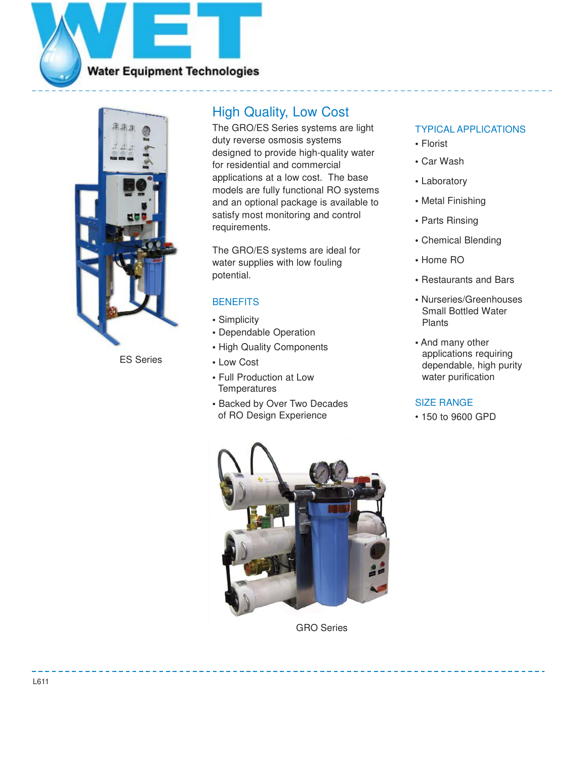



ES Series

## High Quality, Low Cost

The GRO/ES Series systems are light duty reverse osmosis systems designed to provide high-quality water for residential and commercial applications at a low cost. The base models are fully functional RO systems and an optional package is available to satisfy most monitoring and control requirements.

The GRO/ES systems are ideal for water supplies with low fouling potential.

### **BENEFITS**

- **•** Simplicity
- **•** Dependable Operation
- **•** High Quality Components
- **•** Low Cost
- **•** Full Production at Low **Temperatures**
- **•** Backed by Over Two Decades of RO Design Experience

## TYPICAL APPLICATIONS

- **•** Florist
- **•** Car Wash
- **•** Laboratory
- **•** Metal Finishing
- **•** Parts Rinsing
- **•** Chemical Blending
- **•** Home RO
- **•** Restaurants and Bars
- **•** Nurseries/Greenhouses Small Bottled Water Plants
- **•** And many other applications requiring dependable, high purity water purification

### SIZE RANGE

• 150 to 9600 GPD



GRO Series